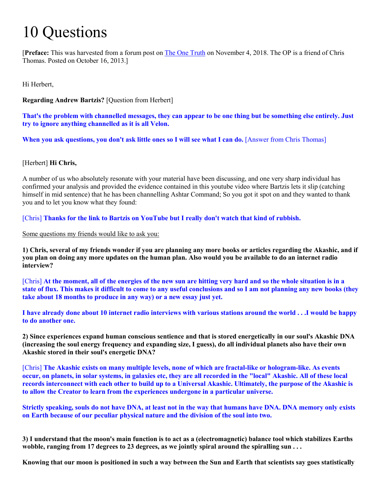## 10 Questions

[**Preface:** This was harvested from a forum post on [The One T](https://jandeane81.com/showthread.php/1066-I-and-some-friends-asked-Chris-Thomas-10-questions-Tues-Oct-15-2013)ruth on November 4, 2018. The OP is a friend of Chris Thomas. Posted on October 16, 2013.]

Hi Herbert,

**Regarding Andrew Bartzis?** [Question from Herbert]

**That's the problem with channelled messages, they can appear to be one thing but be something else entirely. Just try to ignore anything channelled as it is all Velon.** 

**When you ask questions, you don't ask little ones so I will see what I can do.** [Answer from Chris Thomas]

## [Herbert] **Hi Chris,**

A number of us who absolutely resonate with your material have been discussing, and one very sharp individual has confirmed your analysis and provided the evidence contained in this youtube video where Bartzis lets it slip (catching himself in mid sentence) that he has been channelling Ashtar Command; So you got it spot on and they wanted to thank you and to let you know what they found:

[Chris] **Thanks for the link to Bartzis on YouTube but I really don't watch that kind of rubbish.**

Some questions my friends would like to ask you:

**1) Chris, several of my friends wonder if you are planning any more books or articles regarding the Akashic, and if you plan on doing any more updates on the human plan. Also would you be available to do an internet radio interview?**

[Chris] **At the moment, all of the energies of the new sun are hitting very hard and so the whole situation is in a state of flux. This makes it difficult to come to any useful conclusions and so I am not planning any new books (they take about 18 months to produce in any way) or a new essay just yet.**

**I have already done about 10 internet radio interviews with various stations around the world . . .I would be happy to do another one.**

**2) Since experiences expand human conscious sentience and that is stored energetically in our soul's Akashic DNA (increasing the soul energy frequency and expanding size, I guess), do all individual planets also have their own Akashic stored in their soul's energetic DNA?** 

[Chris] **The Akashic exists on many multiple levels, none of which are fractal-like or hologram-like. As events occur, on planets, in solar systems, in galaxies etc, they are all recorded in the "local" Akashic. All of these local records interconnect with each other to build up to a Universal Akashic. Ultimately, the purpose of the Akashic is to allow the Creator to learn from the experiences undergone in a particular universe.**

**Strictly speaking, souls do not have DNA, at least not in the way that humans have DNA. DNA memory only exists on Earth because of our peculiar physical nature and the division of the soul into two.**

**3) I understand that the moon's main function is to act as a (electromagnetic) balance tool which stabilizes Earths**  wobble, ranging from 17 degrees to 23 degrees, as we jointly spiral around the spiralling sun . . .

**Knowing that our moon is positioned in such a way between the Sun and Earth that scientists say goes statistically**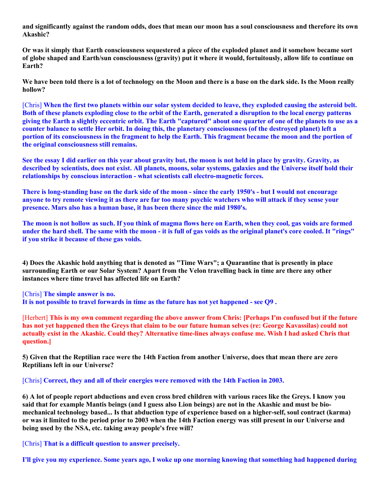**and significantly against the random odds, does that mean our moon has a soul consciousness and therefore its own Akashic?** 

**Or was it simply that Earth consciousness sequestered a piece of the exploded planet and it somehow became sort of globe shaped and Earth/sun consciousness (gravity) put it where it would, fortuitously, allow life to continue on Earth?** 

**We have been told there is a lot of technology on the Moon and there is a base on the dark side. Is the Moon really hollow?**

[Chris] **When the first two planets within our solar system decided to leave, they exploded causing the asteroid belt. Both of these planets exploding close to the orbit of the Earth, generated a disruption to the local energy patterns giving the Earth a slightly eccentric orbit. The Earth "captured" about one quarter of one of the planets to use as a counter balance to settle Her orbit. In doing this, the planetary consciousness (of the destroyed planet) left a portion of its consciousness in the fragment to help the Earth. This fragment became the moon and the portion of the original consciousness still remains.**

**See the essay I did earlier on this year about gravity but, the moon is not held in place by gravity. Gravity, as described by scientists, does not exist. All planets, moons, solar systems, galaxies and the Universe itself hold their relationships by conscious interaction - what scientists call electro-magnetic forces.**

**There is long-standing base on the dark side of the moon - since the early 1950's - but I would not encourage anyone to try remote viewing it as there are far too many psychic watchers who will attack if they sense your presence. Mars also has a human base, it has been there since the mid 1980's.**

**The moon is not hollow as such. If you think of magma flows here on Earth, when they cool, gas voids are formed under the hard shell. The same with the moon - it is full of gas voids as the original planet's core cooled. It "rings" if you strike it because of these gas voids.**

**4) Does the Akashic hold anything that is denoted as "Time Wars"; a Quarantine that is presently in place surrounding Earth or our Solar System? Apart from the Velon travelling back in time are there any other instances where time travel has affected life on Earth?**

[Chris] **The simple answer is no.**

**It is not possible to travel forwards in time as the future has not yet happened - see Q9 .**

[Herbert] **This is my own comment regarding the above answer from Chris: [Perhaps I'm confused but if the future has not yet happened then the Greys that claim to be our future human selves (re: George Kavassilas) could not actually exist in the Akashic. Could they? Alternative time-lines always confuse me. Wish I had asked Chris that question.]** 

**5) Given that the Reptilian race were the 14th Faction from another Universe, does that mean there are zero Reptilians left in our Universe?**

[Chris] **Correct, they and all of their energies were removed with the 14th Faction in 2003.**

**6) A lot of people report abductions and even cross bred children with various races like the Greys. I know you said that for example Mantis beings (and I guess also Lion beings) are not in the Akashic and must be biomechanical technology based... Is that abduction type of experience based on a higher-self, soul contract (karma) or was it limited to the period prior to 2003 when the 14th Faction energy was still present in our Universe and being used by the NSA, etc. taking away people's free will?**

[Chris] **That is a difficult question to answer precisely.**

**I'll give you my experience. Some years ago, I woke up one morning knowing that something had happened during**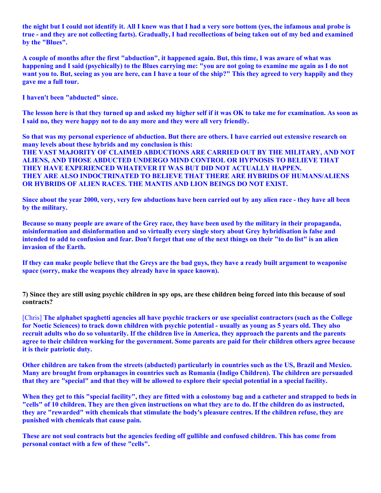**the night but I could not identify it. All I knew was that I had a very sore bottom (yes, the infamous anal probe is true - and they are not collecting farts). Gradually, I had recollections of being taken out of my bed and examined by the "Blues".** 

**A couple of months after the first "abduction", it happened again. But, this time, I was aware of what was happening and I said (psychically) to the Blues carrying me: "you are not going to examine me again as I do not want you to. But, seeing as you are here, can I have a tour of the ship?" This they agreed to very happily and they gave me a full tour.**

**I haven't been "abducted" since.**

**The lesson here is that they turned up and asked my higher self if it was OK to take me for examination. As soon as I said no, they were happy not to do any more and they were all very friendly.**

**So that was my personal experience of abduction. But there are others. I have carried out extensive research on many levels about these hybrids and my conclusion is this: THE VAST MAJORITY OF CLAIMED ABDUCTIONS ARE CARRIED OUT BY THE MILITARY, AND NOT ALIENS, AND THOSE ABDUCTED UNDERGO MIND CONTROL OR HYPNOSIS TO BELIEVE THAT THEY HAVE EXPERIENCED WHATEVER IT WAS BUT DID NOT ACTUALLY HAPPEN.**

**THEY ARE ALSO INDOCTRINATED TO BELIEVE THAT THERE ARE HYBRIDS OF HUMANS/ALIENS OR HYBRIDS OF ALIEN RACES. THE MANTIS AND LION BEINGS DO NOT EXIST.**

**Since about the year 2000, very, very few abductions have been carried out by any alien race - they have all been by the military.**

**Because so many people are aware of the Grey race, they have been used by the military in their propaganda, misinformation and disinformation and so virtually every single story about Grey hybridisation is false and intended to add to confusion and fear. Don't forget that one of the next things on their "to do list" is an alien invasion of the Earth.** 

**If they can make people believe that the Greys are the bad guys, they have a ready built argument to weaponise space (sorry, make the weapons they already have in space known).**

**7) Since they are still using psychic children in spy ops, are these children being forced into this because of soul contracts?**

[Chris] **The alphabet spaghetti agencies all have psychic trackers or use specialist contractors (such as the College for Noetic Sciences) to track down children with psychic potential - usually as young as 5 years old. They also recruit adults who do so voluntarily. If the children live in America, they approach the parents and the parents agree to their children working for the government. Some parents are paid for their children others agree because it is their patriotic duty.** 

**Other children are taken from the streets (abducted) particularly in countries such as the US, Brazil and Mexico. Many are brought from orphanages in countries such as Rumania (Indigo Children). The children are persuaded that they are "special" and that they will be allowed to explore their special potential in a special facility.** 

**When they get to this "special facility", they are fitted with a colostomy bag and a catheter and strapped to beds in "cells" of 10 children. They are then given instructions on what they are to do. If the children do as instructed, they are "rewarded" with chemicals that stimulate the body's pleasure centres. If the children refuse, they are punished with chemicals that cause pain.**

**These are not soul contracts but the agencies feeding off gullible and confused children. This has come from personal contact with a few of these "cells".**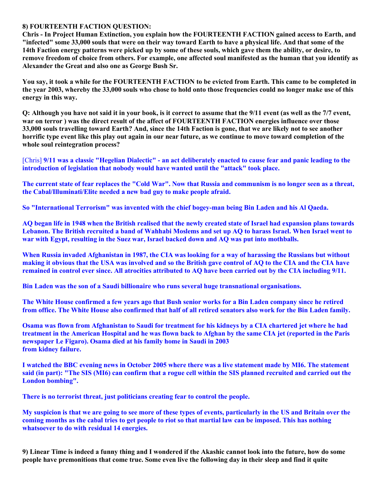## **8) FOURTEENTH FACTION QUESTION:**

**Chris - In Project Human Extinction, you explain how the FOURTEENTH FACTION gained access to Earth, and "infected" some 33,000 souls that were on their way toward Earth to have a physical life. And that some of the 14th Faction energy patterns were picked up by some of these souls, which gave them the ability, or desire, to remove freedom of choice from others. For example, one affected soul manifested as the human that you identify as Alexander the Great and also one as George Bush Sr.**

**You say, it took a while for the FOURTEENTH FACTION to be evicted from Earth. This came to be completed in the year 2003, whereby the 33,000 souls who chose to hold onto those frequencies could no longer make use of this energy in this way.** 

**Q: Although you have not said it in your book, is it correct to assume that the 9/11 event (as well as the 7/7 event, war on terror ) was the direct result of the affect of FOURTEENTH FACTION energies influence over those 33,000 souls travelling toward Earth? And, since the 14th Faction is gone, that we are likely not to see another horrific type event like this play out again in our near future, as we continue to move toward completion of the whole soul reintegration process?**

[Chris] **9/11 was a classic "Hegelian Dialectic" - an act deliberately enacted to cause fear and panic leading to the introduction of legislation that nobody would have wanted until the "attack" took place.**

**The current state of fear replaces the "Cold War". Now that Russia and communism is no longer seen as a threat, the Cabal/Illuminati/Elite needed a new bad guy to make people afraid.**

**So "International Terrorism" was invented with the chief bogey-man being Bin Laden and his Al Qaeda.**

**AQ began life in 1948 when the British realised that the newly created state of Israel had expansion plans towards Lebanon. The British recruited a band of Wahhabi Moslems and set up AQ to harass Israel. When Israel went to war with Egypt, resulting in the Suez war, Israel backed down and AQ was put into mothballs.** 

**When Russia invaded Afghanistan in 1987, the CIA was looking for a way of harassing the Russians but without making it obvious that the USA was involved and so the British gave control of AQ to the CIA and the CIA have remained in control ever since. All atrocities attributed to AQ have been carried out by the CIA including 9/11.**

**Bin Laden was the son of a Saudi billionaire who runs several huge transnational organisations.**

**The White House confirmed a few years ago that Bush senior works for a Bin Laden company since he retired from office. The White House also confirmed that half of all retired senators also work for the Bin Laden family.**

**Osama was flown from Afghanistan to Saudi for treatment for his kidneys by a CIA chartered jet where he had treatment in the American Hospital and he was flown back to Afghan by the same CIA jet (reported in the Paris newspaper Le Figaro). Osama died at his family home in Saudi in 2003 from kidney failure.**

**I watched the BBC evening news in October 2005 where there was a live statement made by MI6. The statement said (in part): "The SIS (MI6) can confirm that a rogue cell within the SIS planned recruited and carried out the London bombing".**

**There is no terrorist threat, just politicians creating fear to control the people.**

**My suspicion is that we are going to see more of these types of events, particularly in the US and Britain over the coming months as the cabal tries to get people to riot so that martial law can be imposed. This has nothing whatsoever to do with residual 14 energies.**

**9) Linear Time is indeed a funny thing and I wondered if the Akashic cannot look into the future, how do some people have premonitions that come true. Some even live the following day in their sleep and find it quite**